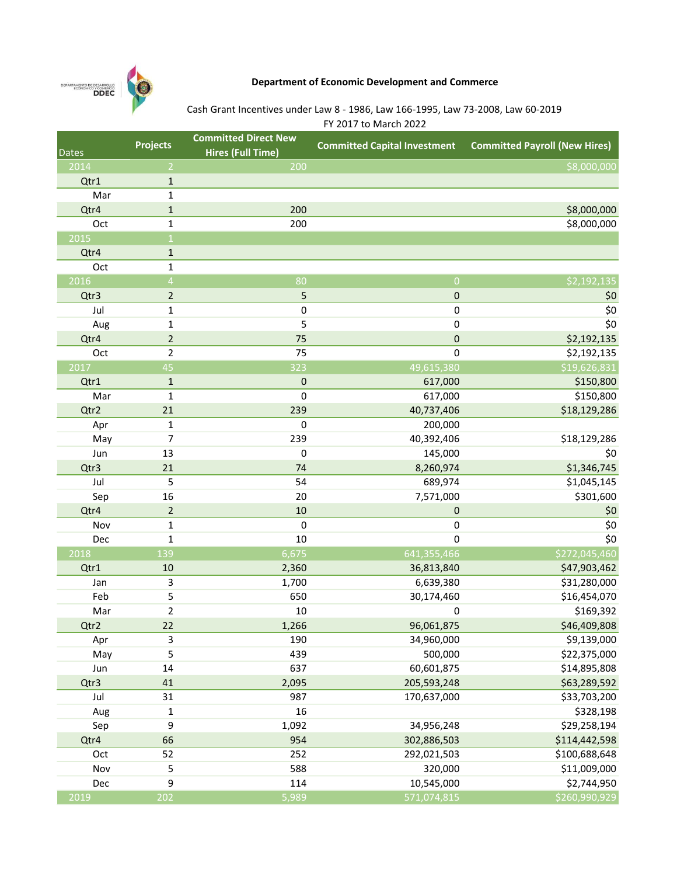

## Department of Economic Development and Commerce

# Cash Grant Incentives under Law 8 - 1986, Law 166-1995, Law 73-2008, Law 60-2019

| FY 2017 to March 2022 |  |
|-----------------------|--|
|-----------------------|--|

| <b>Dates</b>     | <b>Projects</b> | <b>Committed Direct New</b> | <b>Committed Capital Investment</b> | <b>Committed Payroll (New Hires)</b> |
|------------------|-----------------|-----------------------------|-------------------------------------|--------------------------------------|
|                  |                 | <b>Hires (Full Time)</b>    |                                     |                                      |
| 2014             | $\overline{2}$  | 200                         |                                     | \$8,000,000                          |
| Qtr1             | $\mathbf 1$     |                             |                                     |                                      |
| Mar              | 1               |                             |                                     |                                      |
| Qtr4             | $\mathbf{1}$    | 200                         |                                     | \$8,000,000                          |
| Oct              | 1               | 200                         |                                     | \$8,000,000                          |
| 2015             | $\mathbf{1}$    |                             |                                     |                                      |
| Qtr4             | $\mathbf{1}$    |                             |                                     |                                      |
| Oct              | $\mathbf 1$     |                             |                                     |                                      |
| 2016             | $\overline{4}$  | 80                          | $\overline{0}$                      | \$2,192,135                          |
| Qtr3             | $\overline{2}$  | 5                           | 0                                   | \$0                                  |
| Jul              | 1               | $\pmb{0}$                   | 0                                   | \$0                                  |
| Aug              | 1               | 5                           | 0                                   | \$0                                  |
| Qtr4             | $\mathbf 2$     | 75                          | $\mathbf 0$                         | \$2,192,135                          |
| Oct              | $\overline{2}$  | 75                          | $\pmb{0}$                           | \$2,192,135                          |
| 2017             | 45              | 323                         | 49,615,380                          | \$19,626,831                         |
| Qtr1             | $\mathbf{1}$    | $\mathbf 0$                 | 617,000                             | \$150,800                            |
| Mar              | $\mathbf{1}$    | $\mathbf 0$                 | 617,000                             | \$150,800                            |
| Qtr2             | 21              | 239                         | 40,737,406                          | \$18,129,286                         |
| Apr              | 1               | 0                           | 200,000                             |                                      |
| May              | 7               | 239                         | 40,392,406                          | \$18,129,286                         |
| Jun              | 13              | $\pmb{0}$                   | 145,000                             | \$0                                  |
| Qtr3             | 21              | 74                          | 8,260,974                           | \$1,346,745                          |
| Jul              | 5               | 54                          | 689,974                             | \$1,045,145                          |
| Sep              | 16              | 20                          | 7,571,000                           | \$301,600                            |
| Qtr4             | $\mathbf 2$     | 10                          | $\mathbf 0$                         | \$0                                  |
| Nov              | $\mathbf 1$     | $\pmb{0}$                   | 0                                   | \$0                                  |
| Dec              | $\mathbf 1$     | 10                          | 0                                   | \$0                                  |
| 2018             | 139             | 6,675                       | 641,355,466                         | \$272,045,460                        |
| Qtr1             | 10              | 2,360                       | 36,813,840                          | \$47,903,462                         |
| Jan              | 3               | 1,700                       | 6,639,380                           | \$31,280,000                         |
| Feb              | 5               | 650                         | 30,174,460                          | \$16,454,070                         |
| Mar              | $\overline{2}$  | 10                          | 0                                   | \$169,392                            |
| Qtr2             | 22              | 1,266                       | 96,061,875                          | \$46,409,808                         |
| Apr              | 3               | 190                         | 34,960,000                          | \$9,139,000                          |
| May              | 5               | 439                         | 500,000                             | \$22,375,000                         |
| Jun              | 14              | 637                         | 60,601,875                          | \$14,895,808                         |
| Qtr3             | 41              | 2,095                       | 205,593,248                         | \$63,289,592                         |
| Jul              | 31              | 987                         | 170,637,000                         | \$33,703,200                         |
| Aug              | $\mathbf{1}$    | 16                          |                                     | \$328,198                            |
| Sep              | 9               | 1,092                       | 34,956,248                          | \$29,258,194                         |
| Qtr4             | 66              | 954                         | 302,886,503                         | \$114,442,598                        |
| Oct              | 52              | 252                         | 292,021,503                         | \$100,688,648                        |
| Nov              | 5               | 588                         | 320,000                             | \$11,009,000                         |
| Dec              | 9               | 114                         | 10,545,000                          | \$2,744,950                          |
| $\frac{2019}{ }$ | 202             | 5,989                       | 571,074,815                         | \$260,990,929                        |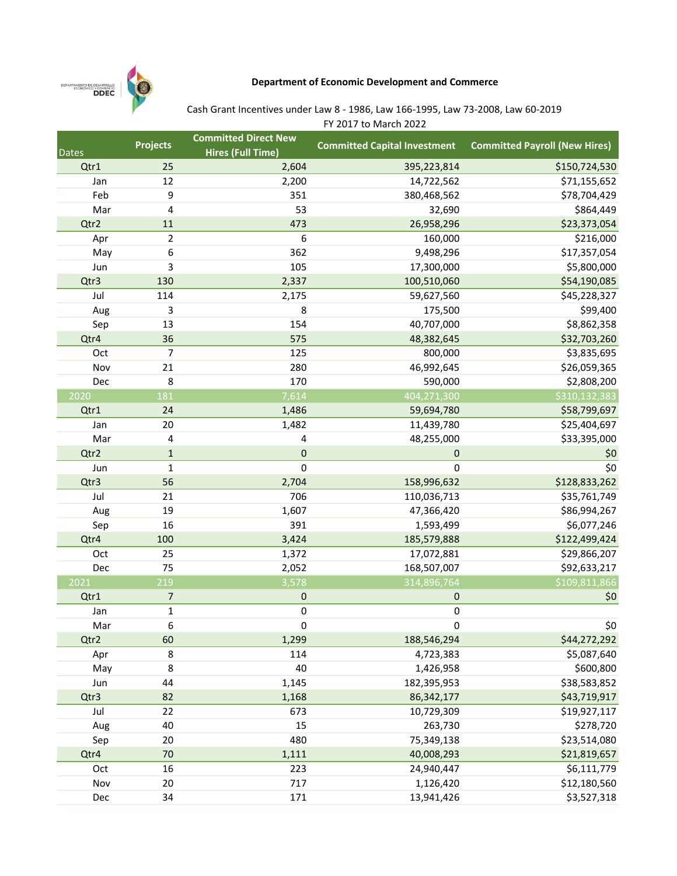

## Department of Economic Development and Commerce

## Cash Grant Incentives under Law 8 - 1986, Law 166-1995, Law 73-2008, Law 60-2019

FY 2017 to March 2022

| <b>Dates</b> | <b>Projects</b>  | <b>Committed Direct New</b><br><b>Hires (Full Time)</b> | <b>Committed Capital Investment</b> | <b>Committed Payroll (New Hires)</b> |
|--------------|------------------|---------------------------------------------------------|-------------------------------------|--------------------------------------|
| Qtr1         | 25               | 2,604                                                   | 395,223,814                         | \$150,724,530                        |
| Jan          | 12               | 2,200                                                   | 14,722,562                          | \$71,155,652                         |
| Feb          | 9                | 351                                                     | 380,468,562                         | \$78,704,429                         |
| Mar          | 4                | 53                                                      | 32,690                              | \$864,449                            |
| Qtr2         | 11               | 473                                                     | 26,958,296                          | \$23,373,054                         |
| Apr          | $\overline{2}$   | 6                                                       | 160,000                             | \$216,000                            |
| May          | 6                | 362                                                     | 9,498,296                           | \$17,357,054                         |
| Jun          | 3                | 105                                                     | 17,300,000                          | \$5,800,000                          |
| Qtr3         | 130              | 2,337                                                   | 100,510,060                         | \$54,190,085                         |
| Jul          | 114              | 2,175                                                   | 59,627,560                          | \$45,228,327                         |
| Aug          | 3                | 8                                                       | 175,500                             | \$99,400                             |
| Sep          | 13               | 154                                                     | 40,707,000                          | \$8,862,358                          |
| Qtr4         | 36               | 575                                                     | 48,382,645                          | \$32,703,260                         |
| Oct          | $\overline{7}$   | 125                                                     | 800,000                             | \$3,835,695                          |
| Nov          | 21               | 280                                                     | 46,992,645                          | \$26,059,365                         |
| Dec          | 8                | 170                                                     | 590,000                             | \$2,808,200                          |
| 2020         | $\overline{181}$ | 7,614                                                   | 404,271,300                         | \$310,132,383                        |
| Qtr1         | 24               | 1,486                                                   | 59,694,780                          | \$58,799,697                         |
| Jan          | 20               | 1,482                                                   | 11,439,780                          | \$25,404,697                         |
| Mar          | 4                | 4                                                       | 48,255,000                          | \$33,395,000                         |
| Qtr2         | $\mathbf 1$      | 0                                                       | 0                                   | \$0                                  |
| Jun          | $\mathbf 1$      | 0                                                       | 0                                   | \$0                                  |
| Qtr3         | 56               | 2,704                                                   | 158,996,632                         | \$128,833,262                        |
| Jul          | 21               | 706                                                     | 110,036,713                         | \$35,761,749                         |
| Aug          | 19               | 1,607                                                   | 47,366,420                          | \$86,994,267                         |
| Sep          | 16               | 391                                                     | 1,593,499                           | \$6,077,246                          |
| Qtr4         | 100              | 3,424                                                   | 185,579,888                         | \$122,499,424                        |
| Oct          | 25               | 1,372                                                   | 17,072,881                          | \$29,866,207                         |
| Dec          | 75               | 2,052                                                   | 168,507,007                         | \$92,633,217                         |
| 2021         | 219              | 3,578                                                   | 314,896,764                         | \$109,811,866                        |
| Qtr1         | 7                | 0                                                       | 0                                   | \$0                                  |
| Jan          | $\mathbf 1$      | 0                                                       | 0                                   |                                      |
| Mar          | 6                | $\pmb{0}$                                               | 0                                   | \$0                                  |
| Qtr2         | 60               | 1,299                                                   | 188,546,294                         | \$44,272,292                         |
| Apr          | 8                | 114                                                     | 4,723,383                           | \$5,087,640                          |
| May          | 8                | 40                                                      | 1,426,958                           | \$600,800                            |
| Jun          | 44               | 1,145                                                   | 182,395,953                         | \$38,583,852                         |
| Qtr3         | 82               | 1,168                                                   | 86,342,177                          | \$43,719,917                         |
| Jul          | 22               | 673                                                     | 10,729,309                          | \$19,927,117                         |
| Aug          | 40               | 15                                                      | 263,730                             | \$278,720                            |
| Sep          | 20               | 480                                                     | 75,349,138                          | \$23,514,080                         |
| Qtr4         | 70               | 1,111                                                   | 40,008,293                          | \$21,819,657                         |
| Oct          | 16               | 223                                                     | 24,940,447                          | \$6,111,779                          |
| Nov          | 20               | 717                                                     | 1,126,420                           | \$12,180,560                         |
| Dec          | 34               | 171                                                     | 13,941,426                          | \$3,527,318                          |